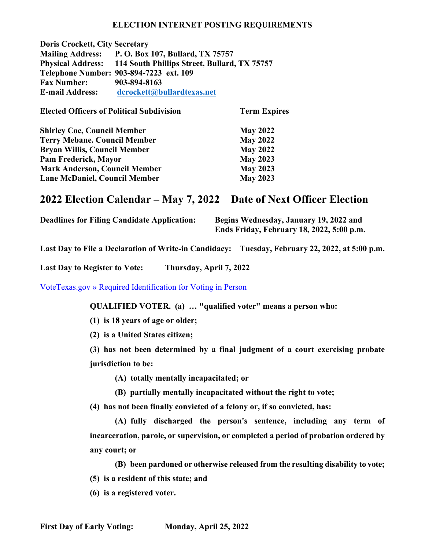#### **ELECTION INTERNET POSTING REQUIREMENTS**

**Doris Crockett, City Secretary Mailing Address: P. O. Box 107, Bullard, TX 75757 Physical Address: 114 South Phillips Street, Bullard, TX 75757 Telephone Number: 903-894-7223 ext. 109 Fax Number: 903-894-8163 E-mail Address: [dcrockett@bullardtexas.net](mailto:dcrockett@bullardtexas.net)**

| <b>Elected Officers of Political Subdivision</b> | <b>Term Expires</b> |  |
|--------------------------------------------------|---------------------|--|
| <b>Shirley Coe, Council Member</b>               | <b>May 2022</b>     |  |
| <b>Terry Mebane. Council Member</b>              | <b>May 2022</b>     |  |
| <b>Bryan Willis, Council Member</b>              | <b>May 2022</b>     |  |
| Pam Frederick, Mayor                             | <b>May 2023</b>     |  |
| <b>Mark Anderson, Council Member</b>             | <b>May 2023</b>     |  |
| <b>Lane McDaniel, Council Member</b>             | <b>May 2023</b>     |  |

# **2022 Election Calendar – May 7, 2022 Date of Next Officer Election**

**Deadlines for Filing Candidate Application: Begins Wednesday, January 19, 2022 and**

**Ends Friday, February 18, 2022, 5:00 p.m.**

**Last Day to File a Declaration of Write-in Candidacy: Tuesday, February 22, 2022, at 5:00 p.m.**

**Last Day to Register to Vote: Thursday, April 7, 2022**

[VoteTexas.gov » Required Identification for Voting in Person](https://www.votetexas.gov/)

**QUALIFIED VOTER. (a) … "qualified voter" means a person who:**

**(1) is 18 years of age or older;**

**(2) is a United States citizen;**

**(3) has not been determined by a final judgment of a court exercising probate jurisdiction to be:**

**(A) totally mentally incapacitated; or**

**(B) partially mentally incapacitated without the right to vote;**

**(4) has not been finally convicted of a felony or, if so convicted, has:**

**(A) fully discharged the person's sentence, including any term of incarceration, parole, or supervision, or completed a period of probation ordered by any court; or**

**(B) been pardoned or otherwise released from the resulting disability to vote;**

**(5) is a resident of this state; and**

**(6) is a registered voter.**